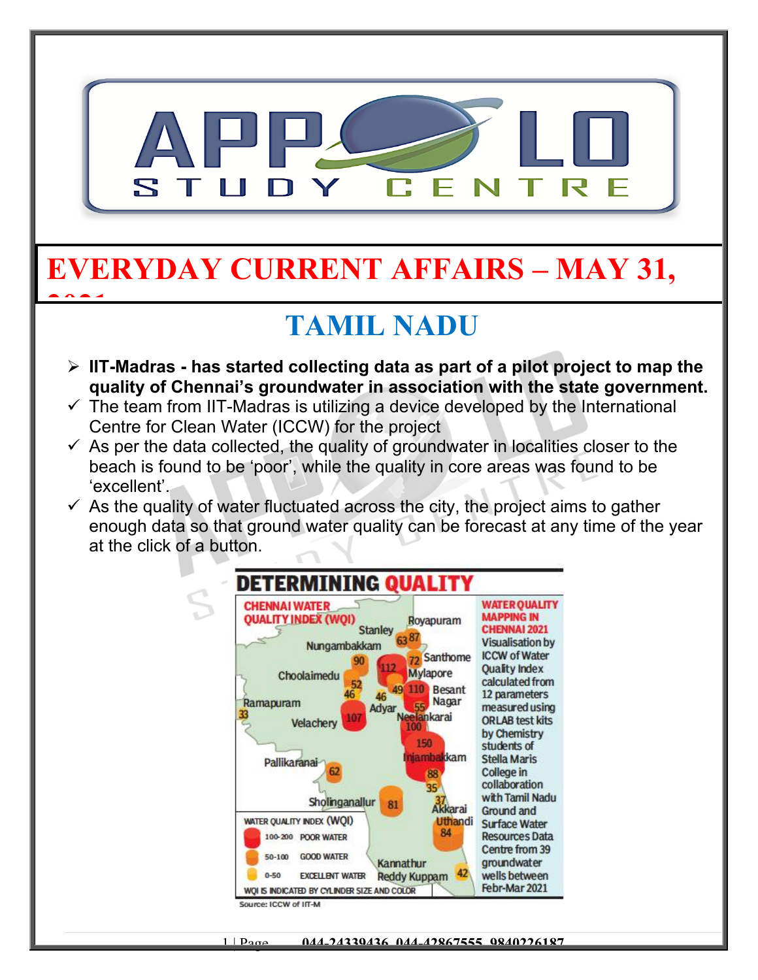

# **EVERYDAY CURRENT AFFAIRS – MAY 31,**

**2021**

#### **TAMIL NADU**

- **IIT-Madras has started collecting data as part of a pilot project to map the quality of Chennai's groundwater in association with the state government.**
- $\checkmark$  The team from IIT-Madras is utilizing a device developed by the International Centre for Clean Water (ICCW) for the project
- $\checkmark$  As per the data collected, the quality of groundwater in localities closer to the beach is found to be 'poor', while the quality in core areas was found to be 'excellent'.
- $\checkmark$  As the quality of water fluctuated across the city, the project aims to gather enough data so that ground water quality can be forecast at any time of the year at the click of a button.



1 | Page **044-24339436, 044-42867555, 9840226187**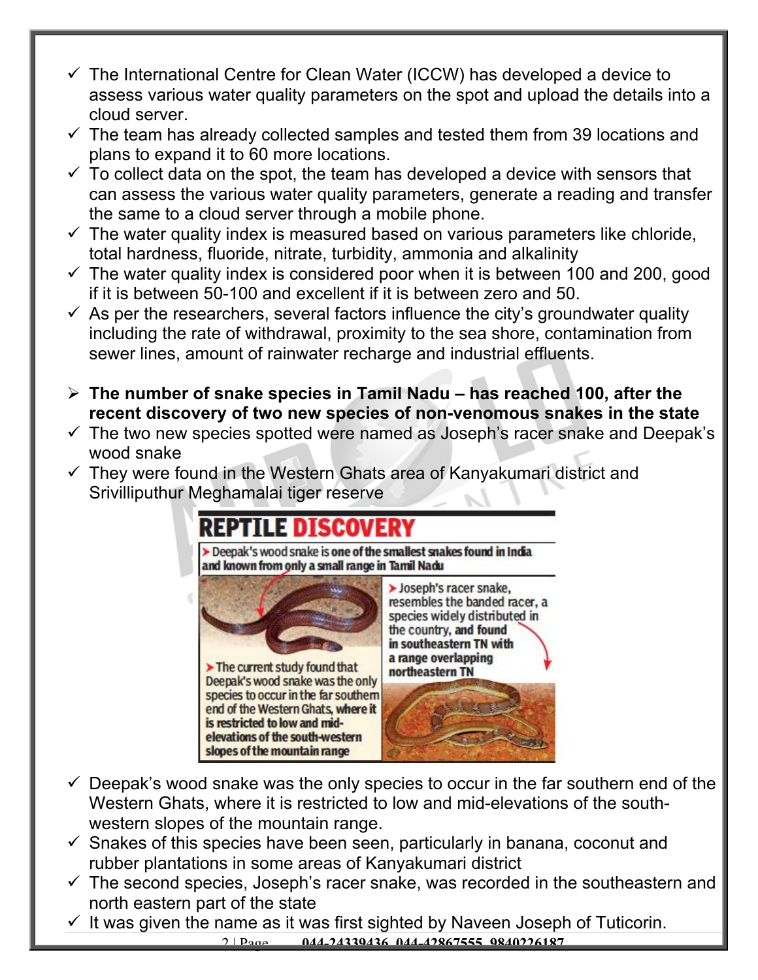- $\checkmark$  The International Centre for Clean Water (ICCW) has developed a device to assess various water quality parameters on the spot and upload the details into a cloud server.
- $\checkmark$  The team has already collected samples and tested them from 39 locations and plans to expand it to 60 more locations.
- $\checkmark$  To collect data on the spot, the team has developed a device with sensors that can assess the various water quality parameters, generate a reading and transfer the same to a cloud server through a mobile phone.
- $\checkmark$  The water quality index is measured based on various parameters like chloride, total hardness, fluoride, nitrate, turbidity, ammonia and alkalinity
- $\checkmark$  The water quality index is considered poor when it is between 100 and 200, good if it is between 50-100 and excellent if it is between zero and 50.
- $\checkmark$  As per the researchers, several factors influence the city's groundwater quality including the rate of withdrawal, proximity to the sea shore, contamination from sewer lines, amount of rainwater recharge and industrial effluents.
- **The number of snake species in Tamil Nadu has reached 100, after the recent discovery of two new species of non-venomous snakes in the state**
- $\checkmark$  The two new species spotted were named as Joseph's racer snake and Deepak's wood snake
- $\checkmark$  They were found in the Western Ghats area of Kanyakumari district and Srivilliputhur Meghamalai tiger reserve

#### **REPTILE DISCOVERY**

> Deepak's wood snake is one of the smallest snakes found in India and known from only a small range in Tamil Nadu



- $\checkmark$  Deepak's wood snake was the only species to occur in the far southern end of the Western Ghats, where it is restricted to low and mid-elevations of the southwestern slopes of the mountain range.
- $\checkmark$  Snakes of this species have been seen, particularly in banana, coconut and rubber plantations in some areas of Kanyakumari district
- $\checkmark$  The second species, Joseph's racer snake, was recorded in the southeastern and north eastern part of the state
- 2 | Page **044-24339436, 044-42867555, 9840226187**  $\checkmark$  It was given the name as it was first sighted by Naveen Joseph of Tuticorin.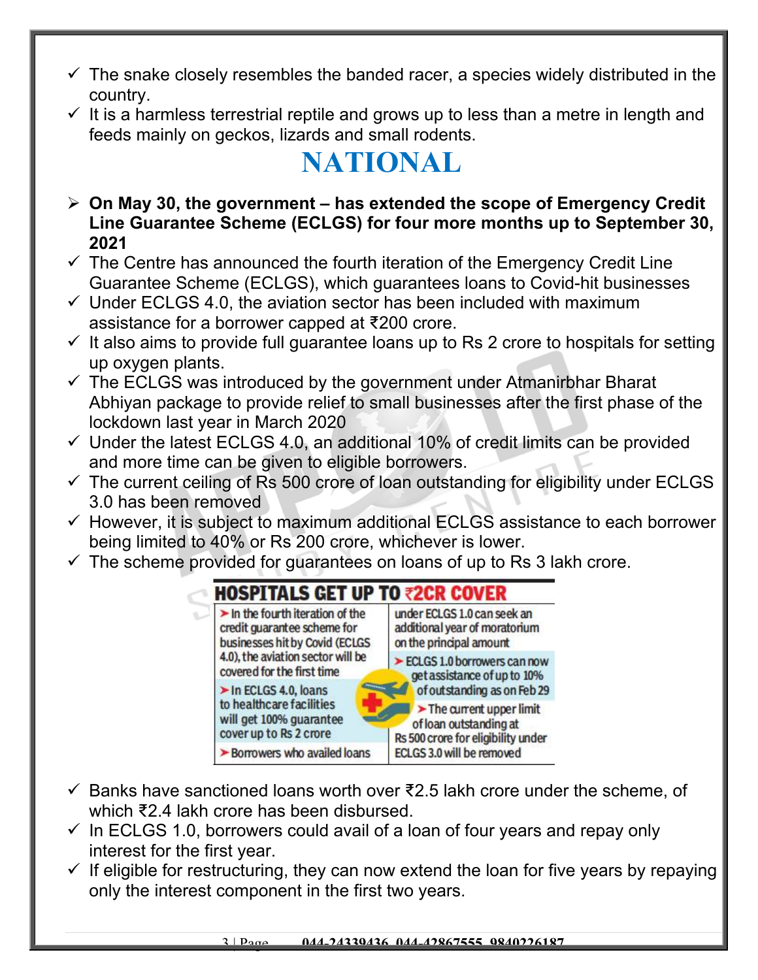- $\checkmark$  The snake closely resembles the banded racer, a species widely distributed in the country.
- $\checkmark$  It is a harmless terrestrial reptile and grows up to less than a metre in length and feeds mainly on geckos, lizards and small rodents.

## **NATIONAL**

- **On May 30, the government has extended the scope of Emergency Credit Line Guarantee Scheme (ECLGS) for four more months up to September 30, 2021**
- $\checkmark$  The Centre has announced the fourth iteration of the Emergency Credit Line Guarantee Scheme (ECLGS), which guarantees loans to Covid-hit businesses
- $\checkmark$  Under ECLGS 4.0, the aviation sector has been included with maximum assistance for a borrower capped at ₹200 crore.
- $\checkmark$  It also aims to provide full quarantee loans up to Rs 2 crore to hospitals for setting up oxygen plants.
- $\checkmark$  The ECLGS was introduced by the government under Atmanirbhar Bharat Abhiyan package to provide relief to small businesses after the first phase of the lockdown last year in March 2020
- $\checkmark$  Under the latest ECLGS 4.0, an additional 10% of credit limits can be provided and more time can be given to eligible borrowers.
- $\checkmark$  The current ceiling of Rs 500 crore of loan outstanding for eligibility under ECLGS 3.0 has been removed
- $\checkmark$  However, it is subject to maximum additional ECLGS assistance to each borrower being limited to 40% or Rs 200 crore, whichever is lower.
- $\checkmark$  The scheme provided for guarantees on loans of up to Rs 3 lakh crore.



- $\checkmark$  Banks have sanctioned loans worth over ₹2.5 lakh crore under the scheme, of which ₹2.4 lakh crore has been disbursed.
- $\checkmark$  In ECLGS 1.0, borrowers could avail of a loan of four years and repay only interest for the first year.
- $\checkmark$  If eligible for restructuring, they can now extend the loan for five years by repaying only the interest component in the first two years.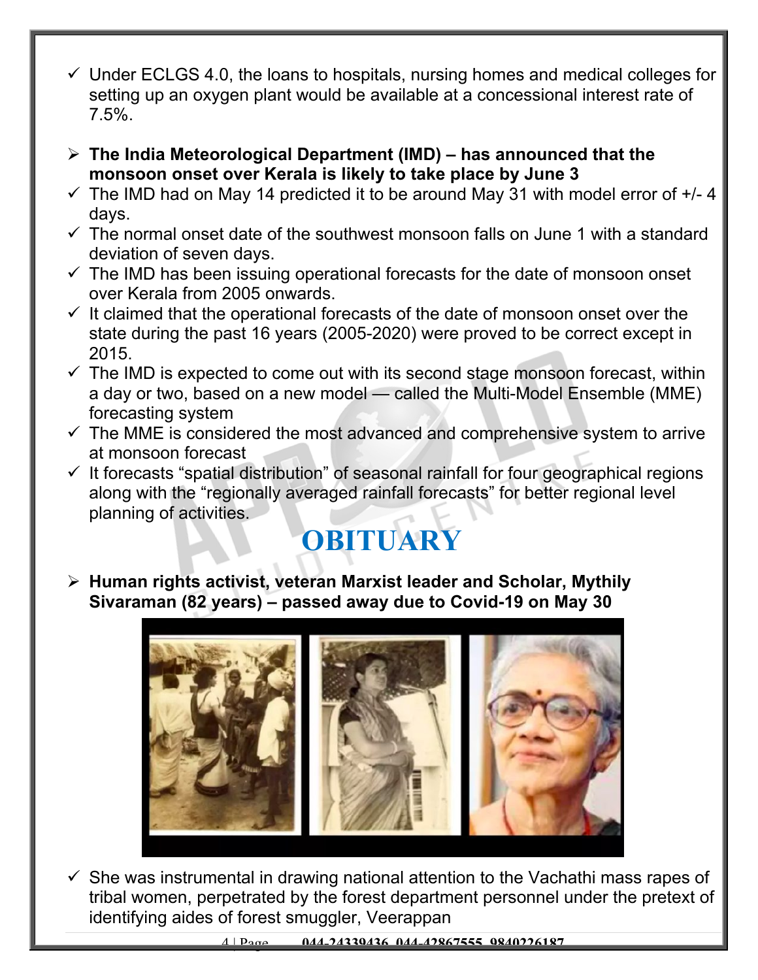- $\checkmark$  Under ECLGS 4.0, the loans to hospitals, nursing homes and medical colleges for setting up an oxygen plant would be available at a concessional interest rate of 7.5%.
- **The India Meteorological Department (IMD) has announced that the monsoon onset over Kerala is likely to take place by June 3**
- $\checkmark$  The IMD had on May 14 predicted it to be around May 31 with model error of  $+/- 4$ days.
- $\checkmark$  The normal onset date of the southwest monsoon falls on June 1 with a standard deviation of seven days.
- $\checkmark$  The IMD has been issuing operational forecasts for the date of monsoon onset over Kerala from 2005 onwards.
- $\checkmark$  It claimed that the operational forecasts of the date of monsoon onset over the state during the past 16 years (2005-2020) were proved to be correct except in 2015.
- $\checkmark$  The IMD is expected to come out with its second stage monsoon forecast, within a day or two, based on a new model — called the Multi-Model Ensemble (MME) forecasting system
- $\checkmark$  The MME is considered the most advanced and comprehensive system to arrive at monsoon forecast
- $\checkmark$  It forecasts "spatial distribution" of seasonal rainfall for four geographical regions along with the "regionally averaged rainfall forecasts" for better regional level planning of activities.

## **OBITUARY**

 **Human rights activist, veteran Marxist leader and Scholar, Mythily Sivaraman (82 years) – passed away due to Covid-19 on May 30**



 $\checkmark$  She was instrumental in drawing national attention to the Vachathi mass rapes of tribal women, perpetrated by the forest department personnel under the pretext of identifying aides of forest smuggler, Veerappan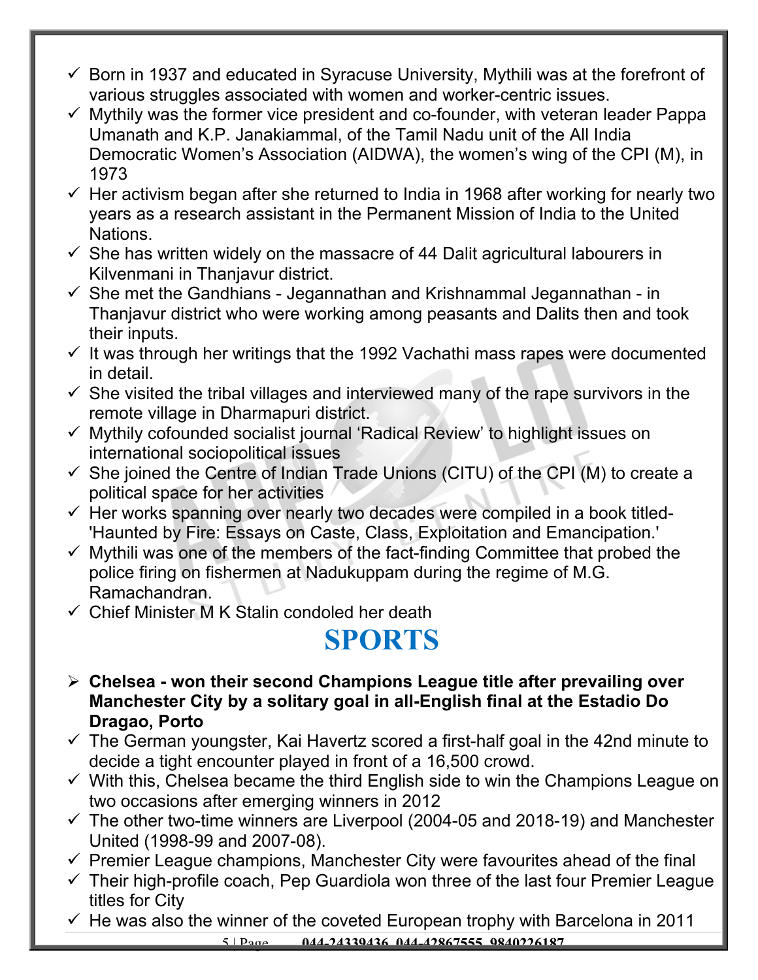- $\checkmark$  Born in 1937 and educated in Syracuse University, Mythili was at the forefront of various struggles associated with women and worker-centric issues.
- $\checkmark$  Mythily was the former vice president and co-founder, with veteran leader Pappa Umanath and K.P. Janakiammal, of the Tamil Nadu unit of the All India Democratic Women's Association (AIDWA), the women's wing of the CPI (M), in 1973
- $\checkmark$  Her activism began after she returned to India in 1968 after working for nearly two years as a research assistant in the Permanent Mission of India to the United Nations.
- $\checkmark$  She has written widely on the massacre of 44 Dalit agricultural labourers in Kilvenmani in Thanjavur district.
- $\checkmark$  She met the Gandhians Jegannathan and Krishnammal Jegannathan in Thanjavur district who were working among peasants and Dalits then and took their inputs.
- $\checkmark$  It was through her writings that the 1992 Vachathi mass rapes were documented in detail.
- $\checkmark$  She visited the tribal villages and interviewed many of the rape survivors in the remote village in Dharmapuri district.
- Mythily cofounded socialist journal 'Radical Review' to highlight issues on international sociopolitical issues
- $\checkmark$  She joined the Centre of Indian Trade Unions (CITU) of the CPI (M) to create a political space for her activities
- $\checkmark$  Her works spanning over nearly two decades were compiled in a book titled-'Haunted by Fire: Essays on Caste, Class, Exploitation and Emancipation.'
- $\checkmark$  Mythili was one of the members of the fact-finding Committee that probed the police firing on fishermen at Nadukuppam during the regime of M.G. Ramachandran.
- $\checkmark$  Chief Minister M K Stalin condoled her death

## **SPORTS**

- **Chelsea won their second Champions League title after prevailing over Manchester City by a solitary goal in all-English final at the Estadio Do Dragao, Porto**
- $\checkmark$  The German youngster, Kai Havertz scored a first-half goal in the 42nd minute to decide a tight encounter played in front of a 16,500 crowd.
- $\checkmark$  With this, Chelsea became the third English side to win the Champions League on two occasions after emerging winners in 2012
- $\checkmark$  The other two-time winners are Liverpool (2004-05 and 2018-19) and Manchester United (1998-99 and 2007-08).
- $\checkmark$  Premier League champions, Manchester City were favourites ahead of the final
- $\checkmark$  Their high-profile coach, Pep Guardiola won three of the last four Premier League titles for City
- $\checkmark$  He was also the winner of the coveted European trophy with Barcelona in 2011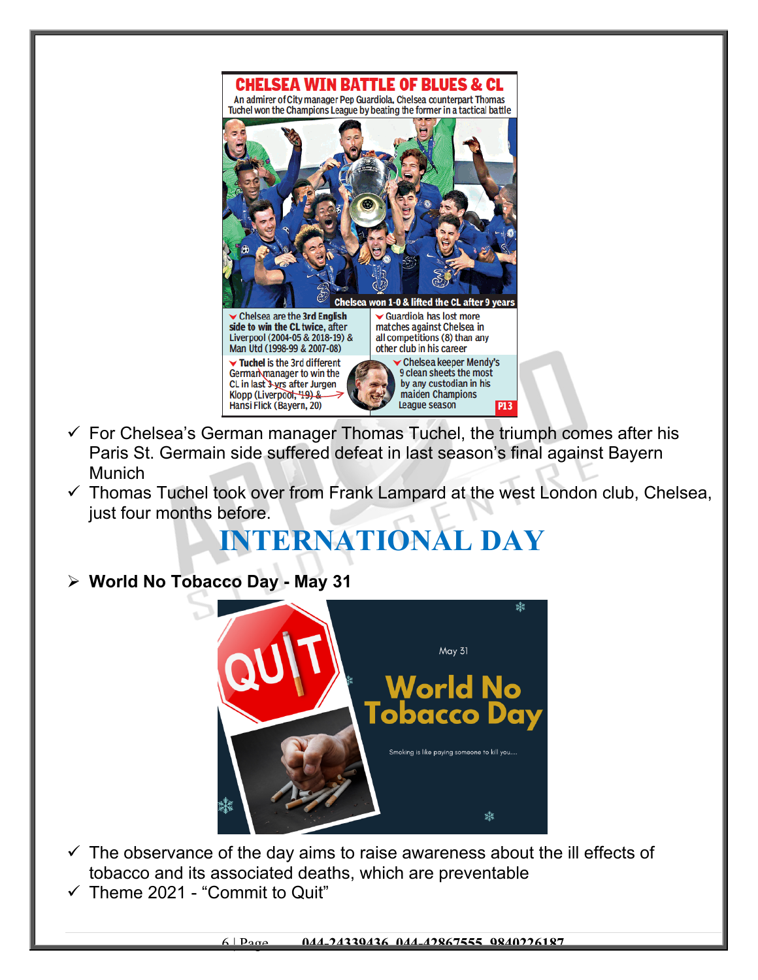

- $\checkmark$  For Chelsea's German manager Thomas Tuchel, the triumph comes after his Paris St. Germain side suffered defeat in last season's final against Bayern Munich
- $\checkmark$  Thomas Tuchel took over from Frank Lampard at the west London club, Chelsea, just four months before.

#### **INTERNATIONAL DAY**

**World No Tobacco Day - May 31**



- $\checkmark$  The observance of the day aims to raise awareness about the ill effects of tobacco and its associated deaths, which are preventable
- $\checkmark$  Theme 2021 "Commit to Quit"

6 | Page **044-24339436, 044-42867555, 9840226187**